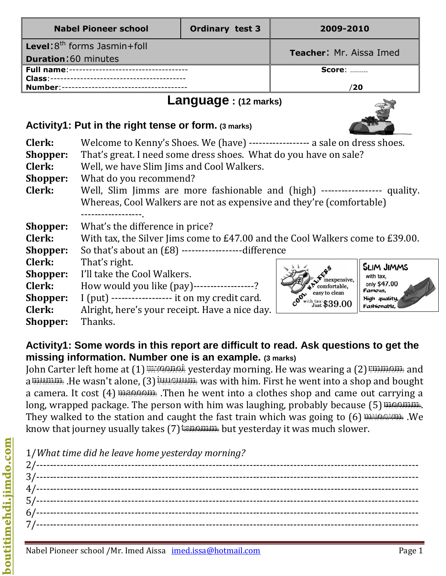#### **Activity1: Put in the right tense or form. (3 marks)**

| Clerk:          | Welcome to Kenny's Shoes. We (have) ------------------ a sale on dress shoes. |                                     |                         |  |
|-----------------|-------------------------------------------------------------------------------|-------------------------------------|-------------------------|--|
| Shopper:        | That's great. I need some dress shoes. What do you have on sale?              |                                     |                         |  |
| Clerk:          | Well, we have Slim Jims and Cool Walkers.                                     |                                     |                         |  |
| <b>Shopper:</b> | What do you recommend?                                                        |                                     |                         |  |
| Clerk:          | Well, Slim Jimms are more fashionable and (high) ------------------ quality.  |                                     |                         |  |
|                 | Whereas, Cool Walkers are not as expensive and they're (comfortable)          |                                     |                         |  |
|                 |                                                                               |                                     |                         |  |
| <b>Shopper:</b> | What's the difference in price?                                               |                                     |                         |  |
| <b>Clerk:</b>   | With tax, the Silver Jims come to £47.00 and the Cool Walkers come to £39.00. |                                     |                         |  |
| <b>Shopper:</b> | So that's about an $(E8)$ ---------------------difference                     |                                     |                         |  |
| <b>Clerk:</b>   | That's right.                                                                 |                                     | <b>SLIM JIMMS</b>       |  |
| <b>Shopper:</b> | I'll take the Cool Walkers.                                                   |                                     | with tax,               |  |
| <b>Clerk:</b>   | How would you like (pay)-----------------?                                    | nexpensive,<br>comfortable,         | only \$47.00<br>Famous. |  |
| <b>Shopper:</b> | I (put) ----------------- it on my credit card.                               | easy to clean                       | High quality,           |  |
| Clerk:          | Alright, here's your receipt. Have a nice day.                                | $_{\rm Just}^{\rm h\, tax}$ \$39.00 | Fashionable,            |  |
| <b>Shopper:</b> | Thanks.                                                                       |                                     |                         |  |
|                 |                                                                               |                                     |                         |  |

# **Activity1: Some words in this report are difficult to read. Ask questions to get the missing information. Number one is an example. (3 marks)**

John Carter left home at (1) mwaanai yesterday morning. He was wearing a (2) rmmaan and a mummim. He wasn't alone, (3) investining was with him. First he went into a shop and bought a camera. It cost (4) masses .Then he went into a clothes shop and came out carrying a long, wrapped package. The person with him was laughing, probably because  $(5)$  moommm. They walked to the station and caught the fast train which was going to  $(6)$  muse way. We know that journey usually takes (7) the put yesterday it was much slower.

| 1/What time did he leave home yesterday morning? |
|--------------------------------------------------|
|                                                  |
|                                                  |
|                                                  |
|                                                  |
|                                                  |
|                                                  |
|                                                  |
|                                                  |

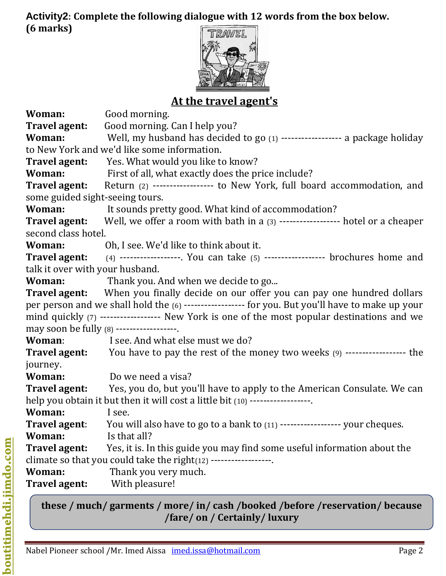## **Activity2: Complete the following dialogue with 12 words from the box below. (6 marks)**



# **At the travel agent's**

| Woman:                          | Good morning.                                                                                                                                                                                                                               |  |  |
|---------------------------------|---------------------------------------------------------------------------------------------------------------------------------------------------------------------------------------------------------------------------------------------|--|--|
| Travel agent:                   | Good morning. Can I help you?                                                                                                                                                                                                               |  |  |
| Woman:                          | Well, my husband has decided to go (1) ------------------ a package holiday                                                                                                                                                                 |  |  |
|                                 | to New York and we'd like some information.                                                                                                                                                                                                 |  |  |
| <b>Travel agent:</b>            | Yes. What would you like to know?                                                                                                                                                                                                           |  |  |
| Woman:                          | First of all, what exactly does the price include?                                                                                                                                                                                          |  |  |
| Travel agent:                   | Return (2) ----------------- to New York, full board accommodation, and                                                                                                                                                                     |  |  |
| some guided sight-seeing tours. |                                                                                                                                                                                                                                             |  |  |
| Woman:                          | It sounds pretty good. What kind of accommodation?                                                                                                                                                                                          |  |  |
| second class hotel.             | <b>Travel agent:</b> Well, we offer a room with bath in a (3) ------------------ hotel or a cheaper                                                                                                                                         |  |  |
| Woman:                          | Oh, I see. We'd like to think about it.                                                                                                                                                                                                     |  |  |
|                                 | <b>Travel agent:</b> (4) -----------------. You can take $(5)$ ------------------ brochures home and                                                                                                                                        |  |  |
| talk it over with your husband. |                                                                                                                                                                                                                                             |  |  |
| Woman:                          | Thank you. And when we decide to go                                                                                                                                                                                                         |  |  |
|                                 | <b>Travel agent:</b> When you finally decide on our offer you can pay one hundred dollars                                                                                                                                                   |  |  |
|                                 | per person and we shall hold the (6) ------------------ for you. But you'll have to make up your<br>mind quickly (7) ----------------- New York is one of the most popular destinations and we<br>may soon be fully (8) ------------------. |  |  |
| Woman:                          | I see. And what else must we do?                                                                                                                                                                                                            |  |  |
|                                 | <b>Travel agent:</b> You have to pay the rest of the money two weeks (9) ------------------ the                                                                                                                                             |  |  |
| journey.                        |                                                                                                                                                                                                                                             |  |  |
| Woman:                          | Do we need a visa?                                                                                                                                                                                                                          |  |  |
|                                 | <b>Travel agent:</b> Yes, you do, but you'll have to apply to the American Consulate. We can                                                                                                                                                |  |  |
|                                 | help you obtain it but then it will cost a little bit (10) ------------------.                                                                                                                                                              |  |  |
| Woman:                          | I see.                                                                                                                                                                                                                                      |  |  |
| Travel agent:                   | You will also have to go to a bank to (11) ------------------ your cheques.                                                                                                                                                                 |  |  |
| Woman:                          | Is that all?                                                                                                                                                                                                                                |  |  |
| Travel agent:                   | Yes, it is. In this guide you may find some useful information about the                                                                                                                                                                    |  |  |
|                                 | climate so that you could take the right(12) ------------------.                                                                                                                                                                            |  |  |
| Woman:                          | Thank you very much.                                                                                                                                                                                                                        |  |  |
| <b>Travel agent:</b>            | With pleasure!                                                                                                                                                                                                                              |  |  |
|                                 |                                                                                                                                                                                                                                             |  |  |

**these / much/ garments / more/ in/ cash /booked /before /reservation/ because /fare/ on / Certainly/ luxury**

**boutitimehdi.jimdo.com**

boutitimehdi.jimdo.com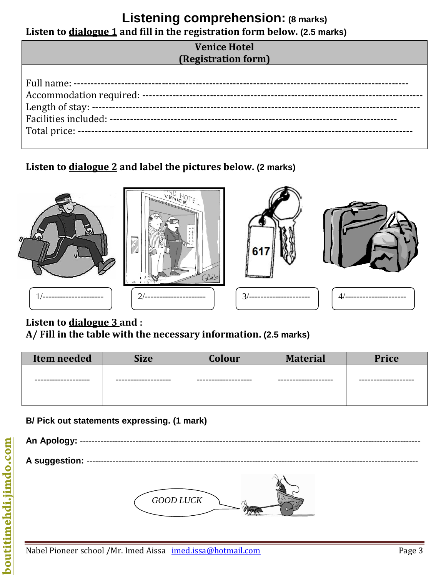## **Listening comprehension: (8 marks) Listen to dialogue 1 and fill in the registration form below. (2.5 marks)**

#### **Venice Hotel (Registration form)**

**Listen to dialogue 2 and label the pictures below. (2 marks)**











## **Listen to dialogue 3 and :**

#### **A/ Fill in the table with the necessary information. (2.5 marks)**

| <b>Item needed</b> | Size            | <b>Colour</b>                 | <b>Material</b>  | <b>Price</b>  |
|--------------------|-----------------|-------------------------------|------------------|---------------|
| .----------------  | --------------- | . _ _ _ _ _ _ _ _ _ _ _ _ _ _ | .--------------- | ------------- |

#### **B/ Pick out statements expressing. (1 mark)**

| An Apology: --     |               |
|--------------------|---------------|
| A suggestion: ---- |               |
|                    | $GOOD$ $LUCK$ |